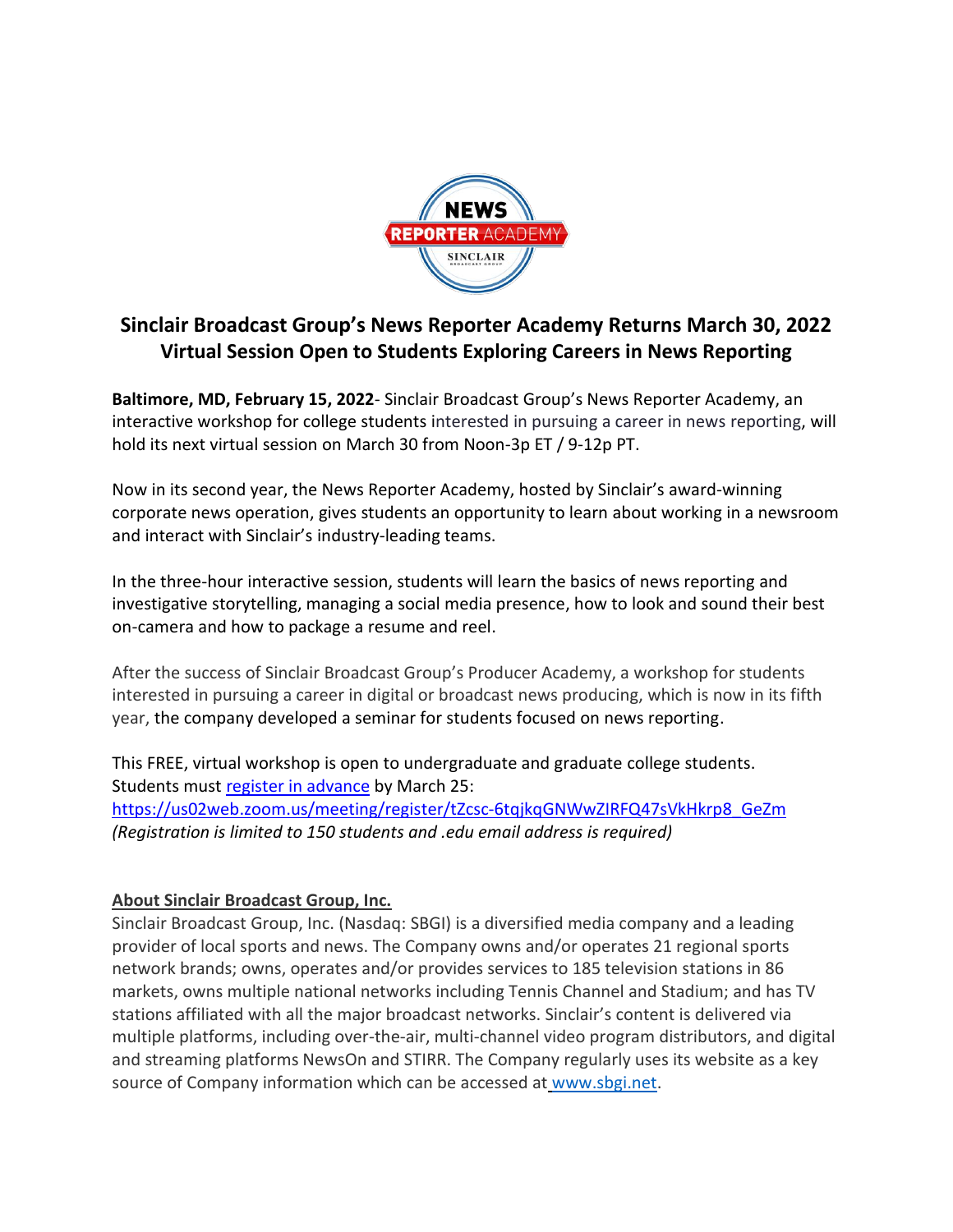

## **Sinclair Broadcast Group's News Reporter Academy Returns March 30, 2022 Virtual Session Open to Students Exploring Careers in News Reporting**

**Baltimore, MD, February 15, 2022**- Sinclair Broadcast Group's News Reporter Academy, an interactive workshop for college students interested in pursuing a career in news reporting, will hold its next virtual session on March 30 from Noon-3p ET / 9-12p PT.

Now in its second year, the News Reporter Academy, hosted by Sinclair's award-winning corporate news operation, gives students an opportunity to learn about working in a newsroom and interact with Sinclair's industry-leading teams.

In the three-hour interactive session, students will learn the basics of news reporting and investigative storytelling, managing a social media presence, how to look and sound their best on-camera and how to package a resume and reel.

After the success of Sinclair Broadcast Group's Producer Academy, a workshop for students interested in pursuing a career in digital or broadcast news producing, which is now in its fifth year, the company developed a seminar for students focused on news reporting.

This FREE, virtual workshop is open to undergraduate and graduate college students. Students must [register in advance](https://us02web.zoom.us/meeting/register/tZcsc-6tqjkqGNWwZIRFQ47sVkHkrp8_GeZm) by March 25: [https://us02web.zoom.us/meeting/register/tZcsc-6tqjkqGNWwZIRFQ47sVkHkrp8\\_GeZm](https://us02web.zoom.us/meeting/register/tZcsc-6tqjkqGNWwZIRFQ47sVkHkrp8_GeZm) *(Registration is limited to 150 students and .edu email address is required)* 

## **About Sinclair Broadcast Group, Inc.**

Sinclair Broadcast Group, Inc. (Nasdaq: SBGI) is a diversified media company and a leading provider of local sports and news. The Company owns and/or operates 21 regional sports network brands; owns, operates and/or provides services to 185 television stations in 86 markets, owns multiple national networks including Tennis Channel and Stadium; and has TV stations affiliated with all the major broadcast networks. Sinclair's content is delivered via multiple platforms, including over-the-air, multi-channel video program distributors, and digital and streaming platforms NewsOn and STIRR. The Company regularly uses its website as a key source of Company information which can be accessed at [www.sbgi.net.](http://www.sbgi.net/)